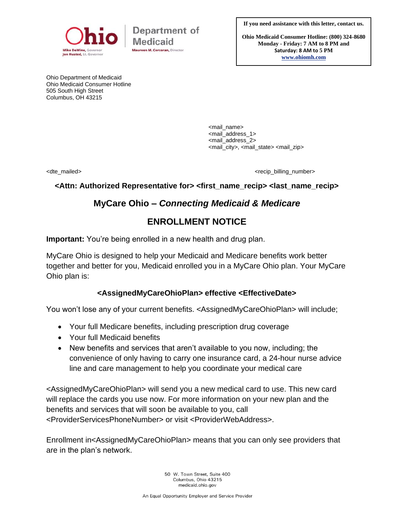

Department of Medicaid aureen M. Corcoran, Director

**If you need assistance with this letter, contact us.**

**Ohio Medicaid Consumer Hotline: (800) 324-8680 Monday - Friday: 7 AM to 8 PM and Saturday: 8 AM to 5 PM [www.ohiomh.com](http://www.ohiomh.com/)**

Ohio Department of Medicaid Ohio Medicaid Consumer Hotline 505 South High Street Columbus, OH 43215

> <mail\_name> <mail\_address\_1> <mail\_address\_2> <mail\_city>, <mail\_state> <mail\_zip>

<dte\_mailed> <dte\_mailed>

### **<Attn: Authorized Representative for> <first\_name\_recip> <last\_name\_recip>**

# **MyCare Ohio –** *Connecting Medicaid & Medicare*

# **ENROLLMENT NOTICE**

**Important:** You're being enrolled in a new health and drug plan.

MyCare Ohio is designed to help your Medicaid and Medicare benefits work better together and better for you, Medicaid enrolled you in a MyCare Ohio plan. Your MyCare Ohio plan is:

## **<AssignedMyCareOhioPlan> effective <EffectiveDate>**

You won't lose any of your current benefits. <AssignedMyCareOhioPlan> will include;

- Your full Medicare benefits, including prescription drug coverage
- Your full Medicaid benefits
- New benefits and services that aren't available to you now, including; the convenience of only having to carry one insurance card, a 24-hour nurse advice line and care management to help you coordinate your medical care

<AssignedMyCareOhioPlan> will send you a new medical card to use. This new card will replace the cards you use now. For more information on your new plan and the benefits and services that will soon be available to you, call <ProviderServicesPhoneNumber> or visit <ProviderWebAddress>.

Enrollment in<AssignedMyCareOhioPlan> means that you can only see providers that are in the plan's network.

> 50 W. Town Street, Suite 400 Columbus, Ohio 43215 medicaid.ohio.gov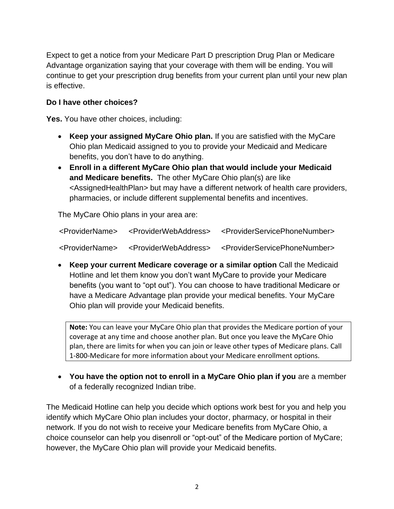Expect to get a notice from your Medicare Part D prescription Drug Plan or Medicare Advantage organization saying that your coverage with them will be ending. You will continue to get your prescription drug benefits from your current plan until your new plan is effective.

## **Do I have other choices?**

**Yes.** You have other choices, including:

- **Keep your assigned MyCare Ohio plan.** If you are satisfied with the MyCare Ohio plan Medicaid assigned to you to provide your Medicaid and Medicare benefits, you don't have to do anything.
- **Enroll in a different MyCare Ohio plan that would include your Medicaid and Medicare benefits.** The other MyCare Ohio plan(s) are like <AssignedHealthPlan> but may have a different network of health care providers, pharmacies, or include different supplemental benefits and incentives.

The MyCare Ohio plans in your area are:

| <providername></providername> | <providerwebaddress></providerwebaddress> | <providerservicephonenumber></providerservicephonenumber> |
|-------------------------------|-------------------------------------------|-----------------------------------------------------------|
| <providername></providername> | <providerwebaddress></providerwebaddress> | <providerservicephonenumber></providerservicephonenumber> |

• **Keep your current Medicare coverage or a similar option** Call the Medicaid Hotline and let them know you don't want MyCare to provide your Medicare benefits (you want to "opt out"). You can choose to have traditional Medicare or have a Medicare Advantage plan provide your medical benefits. Your MyCare Ohio plan will provide your Medicaid benefits.

**Note:** You can leave your MyCare Ohio plan that provides the Medicare portion of your coverage at any time and choose another plan. But once you leave the MyCare Ohio plan, there are limits for when you can join or leave other types of Medicare plans. Call 1-800-Medicare for more information about your Medicare enrollment options.

• **You have the option not to enroll in a MyCare Ohio plan if you** are a member of a federally recognized Indian tribe.

The Medicaid Hotline can help you decide which options work best for you and help you identify which MyCare Ohio plan includes your doctor, pharmacy, or hospital in their network. If you do not wish to receive your Medicare benefits from MyCare Ohio, a choice counselor can help you disenroll or "opt-out" of the Medicare portion of MyCare; however, the MyCare Ohio plan will provide your Medicaid benefits.